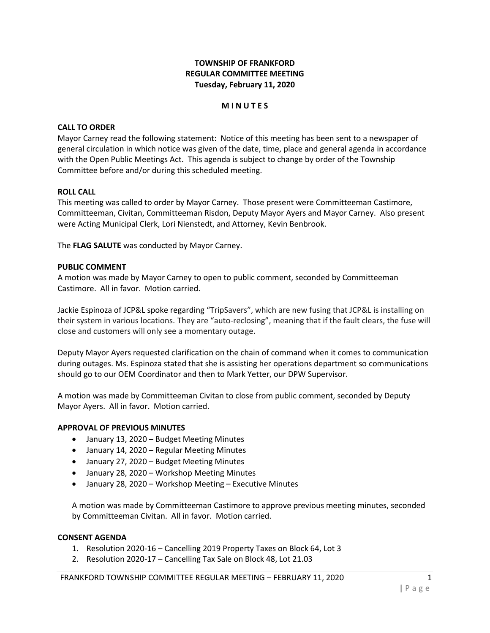# **TOWNSHIP OF FRANKFORD REGULAR COMMITTEE MEETING Tuesday, February 11, 2020**

### **M I N U T E S**

### **CALL TO ORDER**

Mayor Carney read the following statement: Notice of this meeting has been sent to a newspaper of general circulation in which notice was given of the date, time, place and general agenda in accordance with the Open Public Meetings Act. This agenda is subject to change by order of the Township Committee before and/or during this scheduled meeting.

#### **ROLL CALL**

This meeting was called to order by Mayor Carney. Those present were Committeeman Castimore, Committeeman, Civitan, Committeeman Risdon, Deputy Mayor Ayers and Mayor Carney. Also present were Acting Municipal Clerk, Lori Nienstedt, and Attorney, Kevin Benbrook.

The **FLAG SALUTE** was conducted by Mayor Carney.

#### **PUBLIC COMMENT**

A motion was made by Mayor Carney to open to public comment, seconded by Committeeman Castimore. All in favor. Motion carried.

Jackie Espinoza of JCP&L spoke regarding "TripSavers", which are new fusing that JCP&L is installing on their system in various locations. They are "auto-reclosing", meaning that if the fault clears, the fuse will close and customers will only see a momentary outage.

Deputy Mayor Ayers requested clarification on the chain of command when it comes to communication during outages. Ms. Espinoza stated that she is assisting her operations department so communications should go to our OEM Coordinator and then to Mark Yetter, our DPW Supervisor.

A motion was made by Committeeman Civitan to close from public comment, seconded by Deputy Mayor Ayers. All in favor. Motion carried.

#### **APPROVAL OF PREVIOUS MINUTES**

- January 13, 2020 Budget Meeting Minutes
- January 14, 2020 Regular Meeting Minutes
- January 27, 2020 Budget Meeting Minutes
- January 28, 2020 Workshop Meeting Minutes
- January 28, 2020 Workshop Meeting Executive Minutes

A motion was made by Committeeman Castimore to approve previous meeting minutes, seconded by Committeeman Civitan. All in favor. Motion carried.

#### **CONSENT AGENDA**

- 1. Resolution 2020-16 Cancelling 2019 Property Taxes on Block 64, Lot 3
- 2. Resolution 2020-17 Cancelling Tax Sale on Block 48, Lot 21.03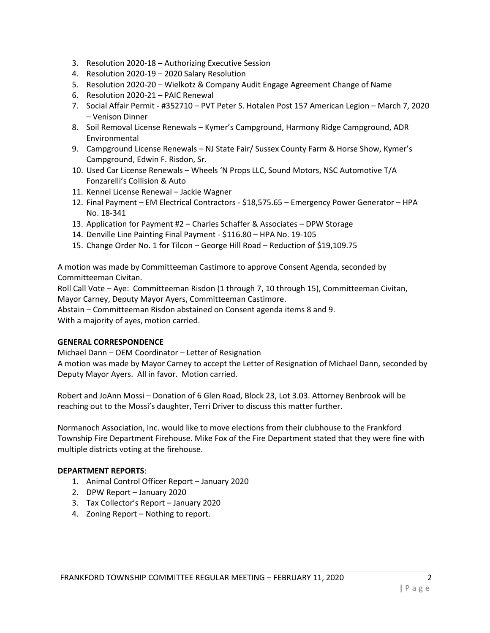- 3. Resolution 2020-18 Authorizing Executive Session
- 4. Resolution 2020-19 2020 Salary Resolution
- 5. Resolution 2020-20 Wielkotz & Company Audit Engage Agreement Change of Name
- 6. Resolution 2020-21 PAIC Renewal
- 7. Social Affair Permit #352710 PVT Peter S. Hotalen Post 157 American Legion March 7, 2020 – Venison Dinner
- 8. Soil Removal License Renewals Kymer's Campground, Harmony Ridge Campground, ADR Environmental
- 9. Campground License Renewals NJ State Fair/ Sussex County Farm & Horse Show, Kymer's Campground, Edwin F. Risdon, Sr.
- 10. Used Car License Renewals Wheels 'N Props LLC, Sound Motors, NSC Automotive T/A Fonzarelli's Collision & Auto
- 11. Kennel License Renewal Jackie Wagner
- 12. Final Payment EM Electrical Contractors \$18,575.65 Emergency Power Generator HPA No. 18-341
- 13. Application for Payment #2 Charles Schaffer & Associates DPW Storage
- 14. Denville Line Painting Final Payment \$116.80 HPA No. 19-105
- 15. Change Order No. 1 for Tilcon George Hill Road Reduction of \$19,109.75

A motion was made by Committeeman Castimore to approve Consent Agenda, seconded by Committeeman Civitan.

Roll Call Vote – Aye: Committeeman Risdon (1 through 7, 10 through 15), Committeeman Civitan, Mayor Carney, Deputy Mayor Ayers, Committeeman Castimore.

Abstain – Committeeman Risdon abstained on Consent agenda items 8 and 9.

With a majority of ayes, motion carried.

### **GENERAL CORRESPONDENCE**

Michael Dann – OEM Coordinator – Letter of Resignation A motion was made by Mayor Carney to accept the Letter of Resignation of Michael Dann, seconded by Deputy Mayor Ayers. All in favor. Motion carried.

Robert and JoAnn Mossi – Donation of 6 Glen Road, Block 23, Lot 3.03. Attorney Benbrook will be reaching out to the Mossi's daughter, Terri Driver to discuss this matter further.

Normanoch Association, Inc. would like to move elections from their clubhouse to the Frankford Township Fire Department Firehouse. Mike Fox of the Fire Department stated that they were fine with multiple districts voting at the firehouse.

### **DEPARTMENT REPORTS**:

- 1. Animal Control Officer Report January 2020
- 2. DPW Report January 2020
- 3. Tax Collector's Report January 2020
- 4. Zoning Report Nothing to report.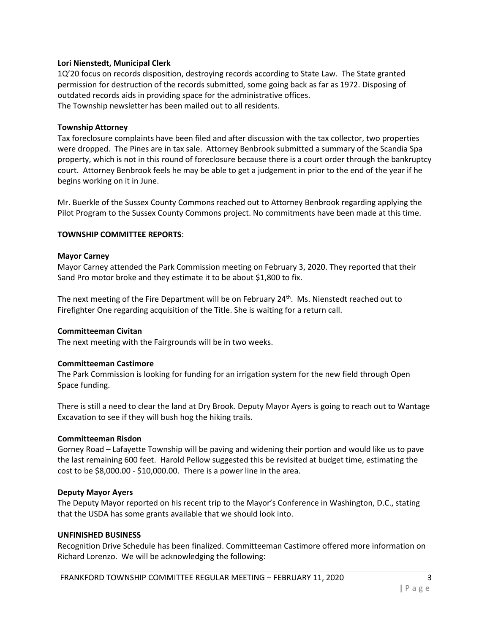### **Lori Nienstedt, Municipal Clerk**

1Q'20 focus on records disposition, destroying records according to State Law. The State granted permission for destruction of the records submitted, some going back as far as 1972. Disposing of outdated records aids in providing space for the administrative offices. The Township newsletter has been mailed out to all residents.

#### **Township Attorney**

Tax foreclosure complaints have been filed and after discussion with the tax collector, two properties were dropped. The Pines are in tax sale. Attorney Benbrook submitted a summary of the Scandia Spa property, which is not in this round of foreclosure because there is a court order through the bankruptcy court. Attorney Benbrook feels he may be able to get a judgement in prior to the end of the year if he begins working on it in June.

Mr. Buerkle of the Sussex County Commons reached out to Attorney Benbrook regarding applying the Pilot Program to the Sussex County Commons project. No commitments have been made at this time.

### **TOWNSHIP COMMITTEE REPORTS**:

#### **Mayor Carney**

Mayor Carney attended the Park Commission meeting on February 3, 2020. They reported that their Sand Pro motor broke and they estimate it to be about \$1,800 to fix.

The next meeting of the Fire Department will be on February  $24<sup>th</sup>$ . Ms. Nienstedt reached out to Firefighter One regarding acquisition of the Title. She is waiting for a return call.

### **Committeeman Civitan**

The next meeting with the Fairgrounds will be in two weeks.

### **Committeeman Castimore**

The Park Commission is looking for funding for an irrigation system for the new field through Open Space funding.

There is still a need to clear the land at Dry Brook. Deputy Mayor Ayers is going to reach out to Wantage Excavation to see if they will bush hog the hiking trails.

### **Committeeman Risdon**

Gorney Road – Lafayette Township will be paving and widening their portion and would like us to pave the last remaining 600 feet. Harold Pellow suggested this be revisited at budget time, estimating the cost to be \$8,000.00 - \$10,000.00. There is a power line in the area.

#### **Deputy Mayor Ayers**

The Deputy Mayor reported on his recent trip to the Mayor's Conference in Washington, D.C., stating that the USDA has some grants available that we should look into.

#### **UNFINISHED BUSINESS**

Recognition Drive Schedule has been finalized. Committeeman Castimore offered more information on Richard Lorenzo. We will be acknowledging the following: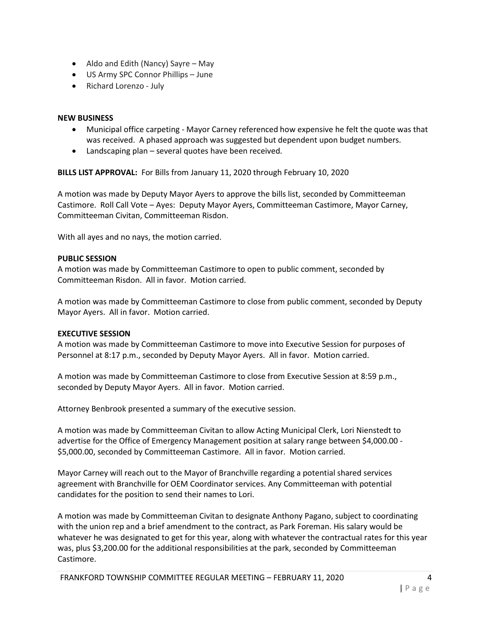- Aldo and Edith (Nancy) Sayre May
- US Army SPC Connor Phillips June
- Richard Lorenzo July

## **NEW BUSINESS**

- Municipal office carpeting Mayor Carney referenced how expensive he felt the quote was that was received. A phased approach was suggested but dependent upon budget numbers.
- Landscaping plan several quotes have been received.

**BILLS LIST APPROVAL:** For Bills from January 11, 2020 through February 10, 2020

A motion was made by Deputy Mayor Ayers to approve the bills list, seconded by Committeeman Castimore. Roll Call Vote – Ayes: Deputy Mayor Ayers, Committeeman Castimore, Mayor Carney, Committeeman Civitan, Committeeman Risdon.

With all ayes and no nays, the motion carried.

### **PUBLIC SESSION**

A motion was made by Committeeman Castimore to open to public comment, seconded by Committeeman Risdon. All in favor. Motion carried.

A motion was made by Committeeman Castimore to close from public comment, seconded by Deputy Mayor Ayers. All in favor. Motion carried.

### **EXECUTIVE SESSION**

A motion was made by Committeeman Castimore to move into Executive Session for purposes of Personnel at 8:17 p.m., seconded by Deputy Mayor Ayers. All in favor. Motion carried.

A motion was made by Committeeman Castimore to close from Executive Session at 8:59 p.m., seconded by Deputy Mayor Ayers. All in favor. Motion carried.

Attorney Benbrook presented a summary of the executive session.

A motion was made by Committeeman Civitan to allow Acting Municipal Clerk, Lori Nienstedt to advertise for the Office of Emergency Management position at salary range between \$4,000.00 - \$5,000.00, seconded by Committeeman Castimore. All in favor. Motion carried.

Mayor Carney will reach out to the Mayor of Branchville regarding a potential shared services agreement with Branchville for OEM Coordinator services. Any Committeeman with potential candidates for the position to send their names to Lori.

A motion was made by Committeeman Civitan to designate Anthony Pagano, subject to coordinating with the union rep and a brief amendment to the contract, as Park Foreman. His salary would be whatever he was designated to get for this year, along with whatever the contractual rates for this year was, plus \$3,200.00 for the additional responsibilities at the park, seconded by Committeeman Castimore.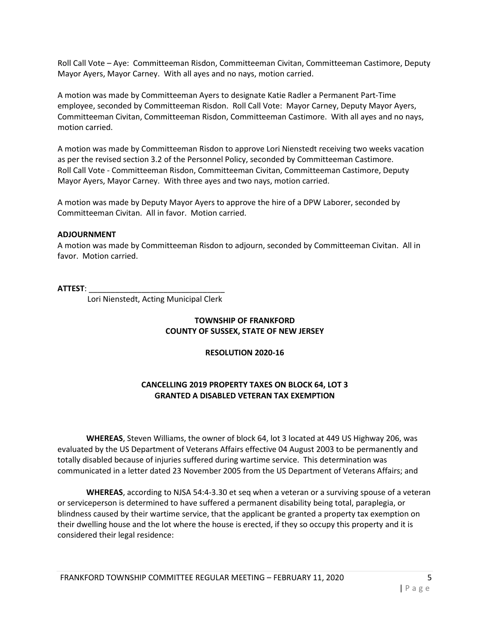Roll Call Vote – Aye: Committeeman Risdon, Committeeman Civitan, Committeeman Castimore, Deputy Mayor Ayers, Mayor Carney. With all ayes and no nays, motion carried.

A motion was made by Committeeman Ayers to designate Katie Radler a Permanent Part-Time employee, seconded by Committeeman Risdon. Roll Call Vote: Mayor Carney, Deputy Mayor Ayers, Committeeman Civitan, Committeeman Risdon, Committeeman Castimore. With all ayes and no nays, motion carried.

A motion was made by Committeeman Risdon to approve Lori Nienstedt receiving two weeks vacation as per the revised section 3.2 of the Personnel Policy, seconded by Committeeman Castimore. Roll Call Vote - Committeeman Risdon, Committeeman Civitan, Committeeman Castimore, Deputy Mayor Ayers, Mayor Carney. With three ayes and two nays, motion carried.

A motion was made by Deputy Mayor Ayers to approve the hire of a DPW Laborer, seconded by Committeeman Civitan. All in favor. Motion carried.

### **ADJOURNMENT**

A motion was made by Committeeman Risdon to adjourn, seconded by Committeeman Civitan. All in favor. Motion carried.

### **ATTEST**: \_\_\_\_\_\_\_\_\_\_\_\_\_\_\_\_\_\_\_\_\_\_\_\_\_\_\_\_\_\_\_

Lori Nienstedt, Acting Municipal Clerk

# **TOWNSHIP OF FRANKFORD COUNTY OF SUSSEX, STATE OF NEW JERSEY**

### **RESOLUTION 2020-16**

# **CANCELLING 2019 PROPERTY TAXES ON BLOCK 64, LOT 3 GRANTED A DISABLED VETERAN TAX EXEMPTION**

**WHEREAS**, Steven Williams, the owner of block 64, lot 3 located at 449 US Highway 206, was evaluated by the US Department of Veterans Affairs effective 04 August 2003 to be permanently and totally disabled because of injuries suffered during wartime service. This determination was communicated in a letter dated 23 November 2005 from the US Department of Veterans Affairs; and

**WHEREAS**, according to NJSA 54:4-3.30 et seq when a veteran or a surviving spouse of a veteran or serviceperson is determined to have suffered a permanent disability being total, paraplegia, or blindness caused by their wartime service, that the applicant be granted a property tax exemption on their dwelling house and the lot where the house is erected, if they so occupy this property and it is considered their legal residence: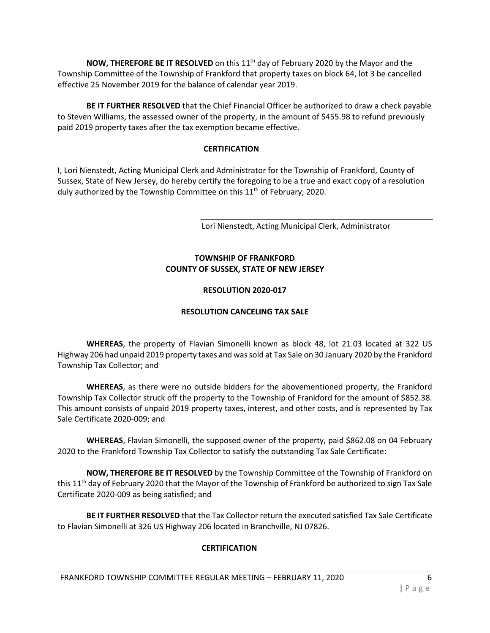**NOW, THEREFORE BE IT RESOLVED** on this 11<sup>th</sup> day of February 2020 by the Mayor and the Township Committee of the Township of Frankford that property taxes on block 64, lot 3 be cancelled effective 25 November 2019 for the balance of calendar year 2019.

**BE IT FURTHER RESOLVED** that the Chief Financial Officer be authorized to draw a check payable to Steven Williams, the assessed owner of the property, in the amount of \$455.98 to refund previously paid 2019 property taxes after the tax exemption became effective.

## **CERTIFICATION**

I, Lori Nienstedt, Acting Municipal Clerk and Administrator for the Township of Frankford, County of Sussex, State of New Jersey, do hereby certify the foregoing to be a true and exact copy of a resolution duly authorized by the Township Committee on this  $11<sup>th</sup>$  of February, 2020.

Lori Nienstedt, Acting Municipal Clerk, Administrator

# **TOWNSHIP OF FRANKFORD COUNTY OF SUSSEX, STATE OF NEW JERSEY**

## **RESOLUTION 2020-017**

# **RESOLUTION CANCELING TAX SALE**

**WHEREAS**, the property of Flavian Simonelli known as block 48, lot 21.03 located at 322 US Highway 206 had unpaid 2019 property taxes and was sold at Tax Sale on 30 January 2020 by the Frankford Township Tax Collector; and

**WHEREAS**, as there were no outside bidders for the abovementioned property, the Frankford Township Tax Collector struck off the property to the Township of Frankford for the amount of \$852.38. This amount consists of unpaid 2019 property taxes, interest, and other costs, and is represented by Tax Sale Certificate 2020-009; and

**WHEREAS**, Flavian Simonelli, the supposed owner of the property, paid \$862.08 on 04 February 2020 to the Frankford Township Tax Collector to satisfy the outstanding Tax Sale Certificate:

**NOW, THEREFORE BE IT RESOLVED** by the Township Committee of the Township of Frankford on this 11<sup>th</sup> day of February 2020 that the Mayor of the Township of Frankford be authorized to sign Tax Sale Certificate 2020-009 as being satisfied; and

**BE IT FURTHER RESOLVED** that the Tax Collector return the executed satisfied Tax Sale Certificate to Flavian Simonelli at 326 US Highway 206 located in Branchville, NJ 07826.

# **CERTIFICATION**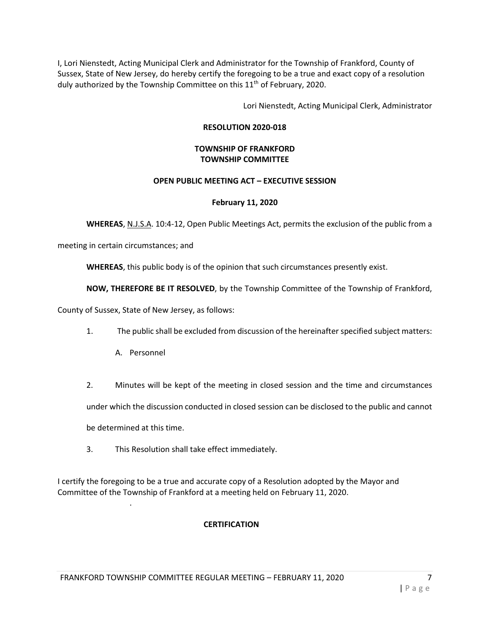I, Lori Nienstedt, Acting Municipal Clerk and Administrator for the Township of Frankford, County of Sussex, State of New Jersey, do hereby certify the foregoing to be a true and exact copy of a resolution duly authorized by the Township Committee on this 11<sup>th</sup> of February, 2020.

Lori Nienstedt, Acting Municipal Clerk, Administrator

## **RESOLUTION 2020-018**

## **TOWNSHIP OF FRANKFORD TOWNSHIP COMMITTEE**

### **OPEN PUBLIC MEETING ACT – EXECUTIVE SESSION**

## **February 11, 2020**

**WHEREAS**, N.J.S.A. 10:4-12, Open Public Meetings Act, permits the exclusion of the public from a

meeting in certain circumstances; and

**WHEREAS**, this public body is of the opinion that such circumstances presently exist.

**NOW, THEREFORE BE IT RESOLVED**, by the Township Committee of the Township of Frankford,

County of Sussex, State of New Jersey, as follows:

- 1. The public shall be excluded from discussion of the hereinafter specified subject matters:
	- A. Personnel
- 2. Minutes will be kept of the meeting in closed session and the time and circumstances

under which the discussion conducted in closed session can be disclosed to the public and cannot

be determined at this time.

.

3. This Resolution shall take effect immediately.

I certify the foregoing to be a true and accurate copy of a Resolution adopted by the Mayor and Committee of the Township of Frankford at a meeting held on February 11, 2020.

# **CERTIFICATION**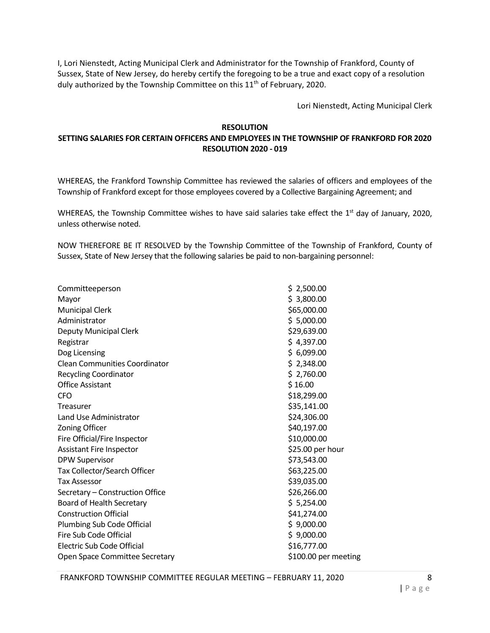I, Lori Nienstedt, Acting Municipal Clerk and Administrator for the Township of Frankford, County of Sussex, State of New Jersey, do hereby certify the foregoing to be a true and exact copy of a resolution duly authorized by the Township Committee on this 11<sup>th</sup> of February, 2020.

Lori Nienstedt, Acting Municipal Clerk

## **RESOLUTION**

# **SETTING SALARIES FOR CERTAIN OFFICERS AND EMPLOYEES IN THE TOWNSHIP OF FRANKFORD FOR 2020 RESOLUTION 2020 - 019**

WHEREAS, the Frankford Township Committee has reviewed the salaries of officers and employees of the Township of Frankford except for those employees covered by a Collective Bargaining Agreement; and

WHEREAS, the Township Committee wishes to have said salaries take effect the  $1<sup>st</sup>$  day of January, 2020, unless otherwise noted.

NOW THEREFORE BE IT RESOLVED by the Township Committee of the Township of Frankford, County of Sussex, State of New Jersey that the following salaries be paid to non-bargaining personnel:

| Committeeperson                      | \$2,500.00           |
|--------------------------------------|----------------------|
| Mayor                                | \$3,800.00           |
| <b>Municipal Clerk</b>               | \$65,000.00          |
| Administrator                        | \$5,000.00           |
| Deputy Municipal Clerk               | \$29,639.00          |
| Registrar                            | \$4,397.00           |
| Dog Licensing                        | \$6,099.00           |
| <b>Clean Communities Coordinator</b> | \$2,348.00           |
| <b>Recycling Coordinator</b>         | \$2,760.00           |
| <b>Office Assistant</b>              | \$16.00              |
| <b>CFO</b>                           | \$18,299.00          |
| Treasurer                            | \$35,141.00          |
| Land Use Administrator               | \$24,306.00          |
| <b>Zoning Officer</b>                | \$40,197.00          |
| Fire Official/Fire Inspector         | \$10,000.00          |
| <b>Assistant Fire Inspector</b>      | \$25.00 per hour     |
| <b>DPW Supervisor</b>                | \$73,543.00          |
| Tax Collector/Search Officer         | \$63,225.00          |
| <b>Tax Assessor</b>                  | \$39,035.00          |
| Secretary - Construction Office      | \$26,266.00          |
| Board of Health Secretary            | \$5,254.00           |
| <b>Construction Official</b>         | \$41,274.00          |
| Plumbing Sub Code Official           | \$9,000.00           |
| Fire Sub Code Official               | \$9,000.00           |
| Electric Sub Code Official           | \$16,777.00          |
| Open Space Committee Secretary       | \$100.00 per meeting |
|                                      |                      |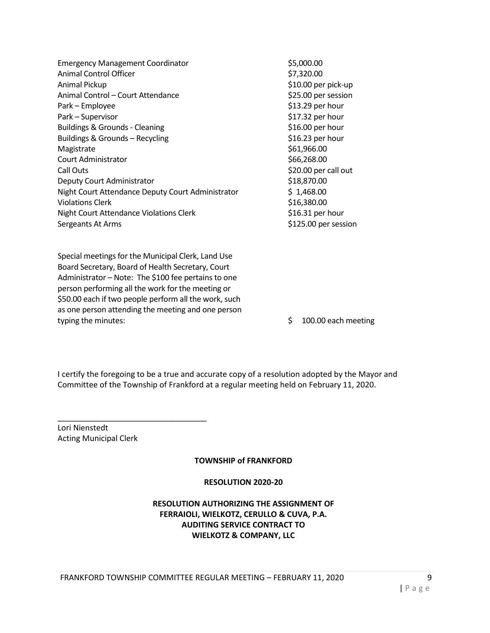| <b>Emergency Management Coordinator</b>           | \$5,000.00           |
|---------------------------------------------------|----------------------|
| Animal Control Officer                            | \$7,320.00           |
| Animal Pickup                                     | \$10.00 per pick-up  |
| Animal Control - Court Attendance                 | \$25.00 per session  |
| Park – Employee                                   | \$13.29 per hour     |
| Park - Supervisor                                 | \$17.32 per hour     |
| <b>Buildings &amp; Grounds - Cleaning</b>         | \$16.00 per hour     |
| Buildings & Grounds - Recycling                   | \$16.23 per hour     |
| Magistrate                                        | \$61,966.00          |
| Court Administrator                               | \$66,268.00          |
| Call Outs                                         | \$20.00 per call out |
| Deputy Court Administrator                        | \$18,870.00          |
| Night Court Attendance Deputy Court Administrator | \$1,468.00           |
| <b>Violations Clerk</b>                           | \$16,380.00          |
| Night Court Attendance Violations Clerk           | \$16.31 per hour     |
| Sergeants At Arms                                 | \$125.00 per session |

Special meetings for the Municipal Clerk, Land Use Board Secretary, Board of Health Secretary, Court Administrator – Note: The \$100 fee pertains to one person performing all the work for the meeting or \$50.00 each if two people perform all the work, such as one person attending the meeting and one person typing the minutes:  $\frac{1}{2}$  100.00 each meeting

I certify the foregoing to be a true and accurate copy of a resolution adopted by the Mayor and Committee of the Township of Frankford at a regular meeting held on February 11, 2020.

Lori Nienstedt Acting Municipal Clerk

\_\_\_\_\_\_\_\_\_\_\_\_\_\_\_\_\_\_\_\_\_\_\_\_\_\_\_\_\_\_\_\_\_\_

**TOWNSHIP of FRANKFORD** 

# **RESOLUTION 2020-20**

# **RESOLUTION AUTHORIZING THE ASSIGNMENT OF FERRAIOLI, WIELKOTZ, CERULLO & CUVA, P.A. AUDITING SERVICE CONTRACT TO WIELKOTZ & COMPANY, LLC**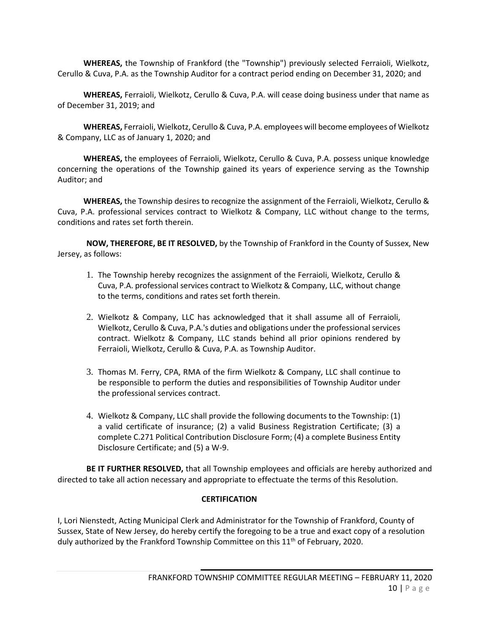**WHEREAS,** the Township of Frankford (the "Township") previously selected Ferraioli, Wielkotz, Cerullo & Cuva, P.A. as the Township Auditor for a contract period ending on December 31, 2020; and

**WHEREAS,** Ferraioli, Wielkotz, Cerullo & Cuva, P.A. will cease doing business under that name as of December 31, 2019; and

**WHEREAS,** Ferraioli, Wielkotz, Cerullo & Cuva, P.A. employees will become employees of Wielkotz & Company, LLC as of January 1, 2020; and

**WHEREAS,** the employees of Ferraioli, Wielkotz, Cerullo & Cuva, P.A. possess unique knowledge concerning the operations of the Township gained its years of experience serving as the Township Auditor; and

**WHEREAS,** the Township desires to recognize the assignment of the Ferraioli, Wielkotz, Cerullo & Cuva, P.A. professional services contract to Wielkotz & Company, LLC without change to the terms, conditions and rates set forth therein.

**NOW, THEREFORE, BE IT RESOLVED,** by the Township of Frankford in the County of Sussex, New Jersey, as follows:

- 1. The Township hereby recognizes the assignment of the Ferraioli, Wielkotz, Cerullo & Cuva, P.A. professional services contract to Wielkotz & Company, LLC, without change to the terms, conditions and rates set forth therein.
- 2. Wielkotz & Company, LLC has acknowledged that it shall assume all of Ferraioli, Wielkotz, Cerullo & Cuva, P.A.'s duties and obligations under the professional services contract. Wielkotz & Company, LLC stands behind all prior opinions rendered by Ferraioli, Wielkotz, Cerullo & Cuva, P.A. as Township Auditor.
- 3. Thomas M. Ferry, CPA, RMA of the firm Wielkotz & Company, LLC shall continue to be responsible to perform the duties and responsibilities of Township Auditor under the professional services contract.
- 4. Wielkotz & Company, LLC shall provide the following documents to the Township: (1) a valid certificate of insurance; (2) a valid Business Registration Certificate; (3) a complete C.271 Political Contribution Disclosure Form; (4) a complete Business Entity Disclosure Certificate; and (5) a W-9.

**BE IT FURTHER RESOLVED,** that all Township employees and officials are hereby authorized and directed to take all action necessary and appropriate to effectuate the terms of this Resolution.

# **CERTIFICATION**

I, Lori Nienstedt, Acting Municipal Clerk and Administrator for the Township of Frankford, County of Sussex, State of New Jersey, do hereby certify the foregoing to be a true and exact copy of a resolution duly authorized by the Frankford Township Committee on this  $11<sup>th</sup>$  of February, 2020.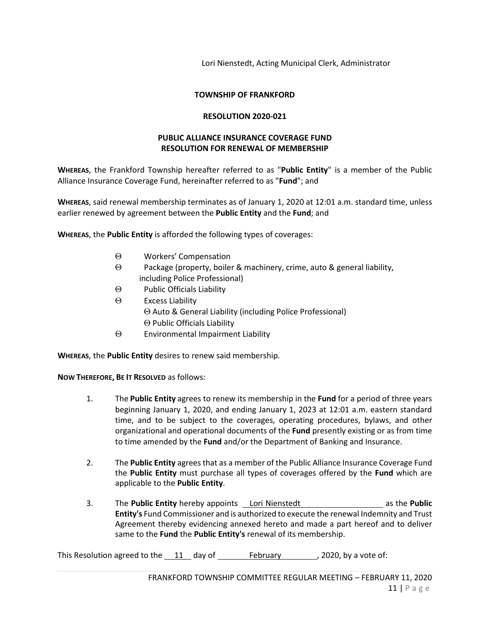Lori Nienstedt, Acting Municipal Clerk, Administrator

#### **TOWNSHIP OF FRANKFORD**

#### **RESOLUTION 2020-021**

## **PUBLIC ALLIANCE INSURANCE COVERAGE FUND RESOLUTION FOR RENEWAL OF MEMBERSHIP**

**WHEREAS**, the Frankford Township hereafter referred to as "**Public Entity**" is a member of the Public Alliance Insurance Coverage Fund, hereinafter referred to as "**Fund**"; and

**WHEREAS**, said renewal membership terminates as of January 1, 2020 at 12:01 a.m. standard time, unless earlier renewed by agreement between the **Public Entity** and the **Fund**; and

**WHEREAS**, the **Public Entity** is afforded the following types of coverages:

- Θ Workers' Compensation
- Θ Package (property, boiler & machinery, crime, auto & general liability, including Police Professional)
- Θ Public Officials Liability
- Θ Excess Liability Θ Auto & General Liability (including Police Professional) Θ Public Officials Liability
- Θ Environmental Impairment Liability

**WHEREAS**, the **Public Entity** desires to renew said membership.

**NOW THEREFORE, BE IT RESOLVED** as follows:

- 1. The **Public Entity** agrees to renew its membership in the **Fund** for a period of three years beginning January 1, 2020, and ending January 1, 2023 at 12:01 a.m. eastern standard time, and to be subject to the coverages, operating procedures, bylaws, and other organizational and operational documents of the **Fund** presently existing or as from time to time amended by the **Fund** and/or the Department of Banking and Insurance.
- 2. The **Public Entity** agrees that as a member of the Public Alliance Insurance Coverage Fund the **Public Entity** must purchase all types of coverages offered by the **Fund** which are applicable to the **Public Entity**.
- 3. The **Public Entity** hereby appoints Lori Nienstedt as the **Public Entity's** Fund Commissioner and is authorized to execute the renewal Indemnity and Trust Agreement thereby evidencing annexed hereto and made a part hereof and to deliver same to the **Fund** the **Public Entity's** renewal of its membership.

This Resolution agreed to the  $11$  day of February , 2020, by a vote of: